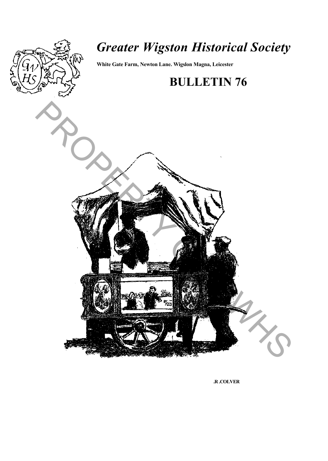

# *Greater Wigston Historical Society*

**White Gate Farm, Newton Lane. Wigslon Magna, Leicester**

## **BULLETIN 76**



**.R .COLVER**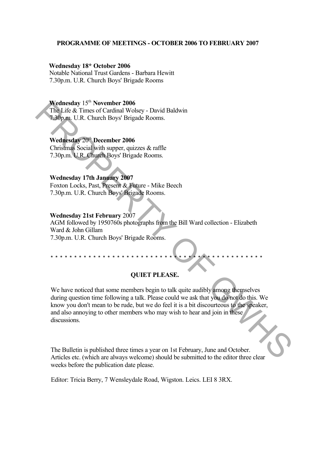#### **PROGRAMME OF MEETINGS - OCTOBER 2006 TO FEBRUARY 2007**

#### **Wednesday 18\* October 2006**

Notable National Trust Gardens - Barbara Hewitt 7.30p.m. U.R. Church Boys' Brigade Rooms

#### **Wednesday** 15th **November 2006**

The Life & Times of Cardinal Wolsey - David Baldwin 7.30p.m. U.R. Church Boys' Brigade Rooms.

#### **Wednesday** 20th **December 2006**

Christmas Social with supper, quizzes & raffle 7.30p.m. U.R. Church Boys' Brigade Rooms.

#### **Wednesday 17th January 2007**

Foxton Locks, Past, Present & Future - Mike Beech 7.30p.m. U.R. Church Boys' Brigade Rooms.

#### **Wednesday 21st February** 2007

AGM followed by 1950760s photographs from the Bill Ward collection - Elizabeth Ward & John Gillam 7.30p.m. U.R. Church Boys' Brigade Rooms.

#### **QUIET PLEASE.**

\* \* \* \* \* \* \* \* \* \* \* \* \* \* \* \* \* \* \* \* \* \* \* \* \* \* \* \* \* \* \* \* \* \* \* \* \* \* \* \* \* \* \* \* \*

We have noticed that some members begin to talk quite audibly among themselves during question time following a talk. Please could we ask that you do not do this. We know you don't mean to be rude, but we do feel it is a bit discourteous to the speaker, and also annoying to other members who may wish to hear and join in these discussions. Wednesday 15" November 2006<br>
The Life & Times of Cardinal Wolsey - David Baldwin<br>
Tab (nm, U.R. Church Boys' Brigade Rooms.<br>
Wednesday 200 December 2006<br>
Christmas Social with supper, quizzes & raffle<br>
7.50p.m. U.R. Churc

The Bulletin is published three times a year on 1st February, June and October. Articles etc. (which are always welcome) should be submitted to the editor three clear weeks before the publication date please.

Editor: Tricia Berry, 7 Wensleydale Road, Wigston. Leics. LEI 8 3RX.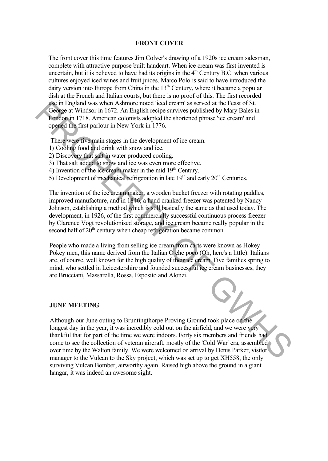#### **FRONT COVER**

The front cover this time features Jim Colver's drawing of a 1920s ice cream salesman, complete with attractive purpose built handcart. When ice cream was first invented is uncertain, but it is believed to have had its origins in the  $4<sup>th</sup>$  Century B.C. when various cultures enjoyed iced wines and fruit juices. Marco Polo is said to have introduced the dairy version into Europe from China in the  $13<sup>th</sup>$  Century, where it became a popular dish at the French and Italian courts, but there is no proof of this. The first recorded use in England was when Ashmore noted 'iced cream' as served at the Feast of St. George at Windsor in 1672. An English recipe survives published by Mary Bales in London in 1718. American colonists adopted the shortened phrase 'ice cream' and opened the first parlour in New York in 1776.

There were five main stages in the development of ice cream.

- 1) Cooling food and drink with snow and ice.
- 2) Discovery that salt in water produced cooling.
- 3) That salt added to snow and ice was even more effective.
- 4) Invention of the ice cream maker in the mid  $19<sup>th</sup>$  Century.
- 5) Development of mechanical refrigeration in late  $19<sup>th</sup>$  and early  $20<sup>th</sup>$  Centuries.

The invention of the ice cream maker, a wooden bucket freezer with rotating paddles, improved manufacture, and in 1846, a hand cranked freezer was patented by Nancy Johnson, establishing a method which is still basically the same as that used today. The development, in 1926, of the first commercially successful continuous process freezer by Clarence Vogt revolutionised storage, and ice cream became really popular in the second half of 20<sup>th</sup> century when cheap refrigeration became common.

People who made a living from selling ice cream from carts were known as Hokey Pokey men, this name derived from the Italian O che poco (Oh, here's a little). Italians are, of course, well known for the high quality of their ice cream. Five families spring to mind, who settled in Leicestershire and founded successful ice cream businesses, they are Brucciani, Massarella, Rossa, Esposito and Alonzi.

#### **JUNE MEETING**

Although our June outing to Bruntingthorpe Proving Ground took place on the longest day in the year, it was incredibly cold out on the airfield, and we were very thankful that for part of the time we were indoors. Forty six members and friends had come to see the collection of veteran aircraft, mostly of the 'Cold War' era, assembled over time by the Walton family. We were welcomed on arrival by Denis Parker, visitor manager to the Vulcan to the Sky project, which was set up to get XH558, the only surviving Vulcan Bomber, airworthy again. Raised high above the ground in a giant hangar, it was indeed an awesome sight. decided that we have the most of the control incelled create of the Feast of St.<br>
The paper and Window in 1672. An English recipe survives published by Mary Bales in<br>
bondom in 178. Annerican colonists adopted the shorten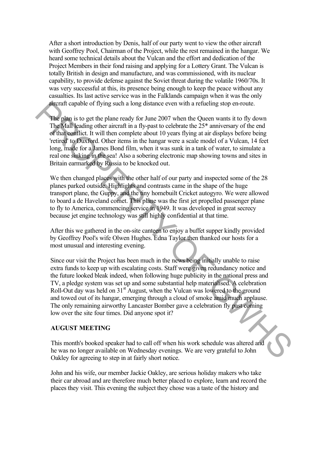After a short introduction by Denis, half of our party went to view the other aircraft with Geoffrey Pool, Chairman of the Project, while the rest remained in the hangar. We heard some technical details about the Vulcan and the effort and dedication of the Project Members in their fond raising and applying for a Lottery Grant. The Vulcan is totally British in design and manufacture, and was commissioned, with its nuclear capability, to provide defense against the Soviet threat during the volatile 1960/70s. It was very successful at this, its presence being enough to keep the peace without any casualties. Its last active service was in the Falklands campaign when it was the only aircraft capable of flying such a long distance even with a refueling stop en-route.

The plan is to get the plane ready for June 2007 when the Queen wants it to fly down The Mall leading other aircraft in a fly-past to celebrate the 25\* anniversary of the end of that conflict. It will then complete about 10 years flying at air displays before being 'retired' to Duxford. Other items in the hangar were a scale model of a Vulcan, 14 feet long, made for a James Bond film, when it was sunk in a tank of water, to simulate a real one sinking in the sea! Also a sobering electronic map showing towns and sites in Britain earmarked by Russia to be knocked out.

We then changed places with the other half of our party and inspected some of the 28 planes parked outside. Highlights and contrasts came in the shape of the huge transport plane, the Guppy, and the tiny homebuilt Cricket autogyro. We were allowed to board a de Haveland comet. This plane was the first jet propelled passenger plane to fly to America, commencing service in 1949. It was developed in great secrecy because jet engine technology was still highly confidential at that time.

After this we gathered in the on-site canteen to enjoy a buffet supper kindly provided by Geoffrey Pool's wife Olwen Hughes. Edna Taylor then thanked our hosts for a most unusual and interesting evening.

Since our visit the Project has been much in the news being initially unable to raise extra funds to keep up with escalating costs. Staff were given redundancy notice and the future looked bleak indeed, when following huge publicity in the national press and TV, a pledge system was set up and some substantial help materialised. A celebration Roll-Out day was held on  $31<sup>st</sup>$  August, when the Vulcan was lowered to the ground and towed out of its hangar, emerging through a cloud of smoke amid much applause. The only remaining airworthy Lancaster Bomber gave a celebration fly past coming low over the site four times. Did anyone spot it? afterant capable of flying such a long distance even with a refueling stop en-route<br>The plan is to get the plane ready for June 2007 when the Queen wents it to fly down<br>The Mail leading other uirertal in a fly-pest to ecle

#### **AUGUST MEETING**

This month's booked speaker had to call off when his work schedule was altered and he was no longer available on Wednesday evenings. We are very grateful to John Oakley for agreeing to step in at fairly short notice.

John and his wife, our member Jackie Oakley, are serious holiday makers who take their car abroad and are therefore much better placed to explore, learn and record the places they visit. This evening the subject they chose was a taste of the history and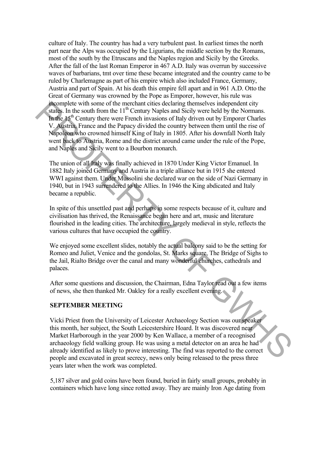culture of Italy. The country has had a very turbulent past. In earliest times the north part near the Alps was occupied by the Ligurians, the middle section by the Romans, most of the south by the Etruscans and the Naples region and Sicily by the Greeks. After the fall of the last Roman Emperor in 467 A.D. Italy was overrun by successive waves of barbarians, tmt over time these became integrated and the country came to be ruled by Charlemagne as part of his empire which also included France, Germany, Austria and part of Spain. At his death this empire fell apart and in 961 A.D. Otto the Great of Germany was crowned by the Pope as Emporer, however, his rule was incomplete with some of the merchant cities declaring themselves independent city states. In the south from the  $11<sup>th</sup>$  Century Naples and Sicily were held by the Normans. In the  $15<sup>th</sup>$  Century there were French invasions of Italy driven out by Emporer Charles V. Austria, France and the Papacy divided the country between them until the rise of Napoleon who crowned himself King of Italy in 1805. After his downfall North Italy went back to Austria, Rome and the district around came under the rule of the Pope, and Naples and Sicily went to a Bourbon monarch. neon phenomic of the mechanic tries declaring then<br>select with some of the mechanic tries declaring then<br>select to the mechanic correct streament correct streament in the Monday<br>determinant manifology. The Monday Finance a

The union of all Italy was finally achieved in 1870 Under King Victor Emanuel. In 1882 Italy joined Germany and Austria in a triple alliance but in 1915 she entered WWI against them. Under Mussolini she declared war on the side of Nazi Germany in 1940, but in 1943 surrendered to the Allies. In 1946 the King abdicated and Italy became a republic.

In spite of this unsettled past and perhaps in some respects because of it, culture and civilisation has thrived, the Renaissance began here and art, music and literature flourished in the leading cities. The architecture, largely medieval in style, reflects the various cultures that have occupied the country.

We enjoyed some excellent slides, notably the actual balcony said to be the setting for Romeo and Juliet, Venice and the gondolas, St. Marks square, The Bridge of Sighs to the Jail, Rialto Bridge over the canal and many wonderful churches, cathedrals and palaces.

After some questions and discussion, the Chairman, Edna Taylor read out a few items of news, she then thanked Mr. Oakley for a really excellent evening.

#### **SEPTEMBER MEETING**

Vicki Priest from the University of Leicester Archaeology Section was our speaker this month, her subject, the South Leicestershire Hoard. It was discovered near Market Harborough in the year 2000 by Ken Wallace, a member of a recognised archaeology field walking group. He was using a metal detector on an area he had already identified as likely to prove interesting. The find was reported to the correct people and excavated in great secrecy, news only being released to the press three years later when the work was completed.

5,187 silver and gold coins have been found, buried in fairly small groups, probably in containers which have long since rotted away. They are mainly Iron Age dating from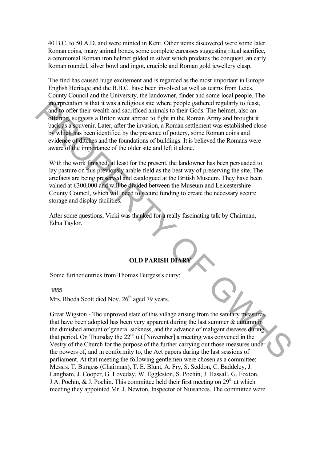40 B.C. to 50 A.D. and were minted in Kent. Other items discovered were some later Roman coins, many animal bones, some complete carcasses suggesting ritual sacrifice, a ceremonial Roman iron helmet gilded in silver which predates the conquest, an early Roman roundel, silver bowl and ingot, crucible and Roman gold jewellery clasp.

The find has caused huge excitement and is regarded as the most important in Europe. English Heritage and the B.B.C. have been involved as well as teams from Leics. County Council and the University, the landowner, finder and some local people. The interpretation is that it was a religious site where people gathered regularly to feast, and to offer their wealth and sacrificed animals to their Gods. The helmet, also an offering, suggests a Briton went abroad to fight in the Roman Army and brought it back as a souvenir. Later, after the invasion, a Roman settlement was established close by which has been identified by the presence of pottery, some Roman coins and evidence of ditches and the foundations of buildings. It is believed the Romans were aware of the importance of the older site and left it alone. marrocularion is that it was a religious site when pooling gathwate in<br>and to offer their wealth and sacrificed animals to their Gods. The helmet, also an<br>orderon, anges is a Brition went aboutd to fight in the Roman Army

With the work finished, at least for the present, the landowner has been persuaded to lay pasture on this previously arable field as the best way of preserving the site. The artefacts are being preserved and catalogued at the British Museum. They have been valued at Ä300,000 and will be divided between the Museum and Leicestershire County Council, which will need to secure funding to create the necessary secure storage and display facilities.

After some questions, Vicki was thanked for a really fascinating talk by Chairman, Edna Taylor.

### **OLD PARISH DIARY**

Some further entries from Thomas Burgess's diary:

#### 1855

Mrs. Rhoda Scott died Nov.  $26<sup>th</sup>$  aged 79 years.

Great Wigston - The unproved state of this village arising from the sanitary measures that have been adopted has been very apparent during the last summer & autumn in the dimished amount of general sickness, and the advance of maligant diseases during that period. On Thursday the 22<sup>nd</sup> ult [November] a meeting was convened in the Vestry of the Church for the purpose of the further carrying out those measures under the powers of, and in conformity to, the Act papers during the last sessions of parliament. At that meeting the following gentlemen were chosen as a committee: Messrs. T. Burgess (Chairman), T. E. Blunt, A. Fry, S. Seddon, C. Baddeley, J. Langham, J. Cooper, G. Loveday, W. Eggleston, S. Pochin, J. Hassall, G. Foxton, J.A. Pochin, & J. Pochin. This committee held their first meeting on  $29<sup>th</sup>$  at which meeting they appointed Mr. J. Newton, Inspector of Nuisances. The committee were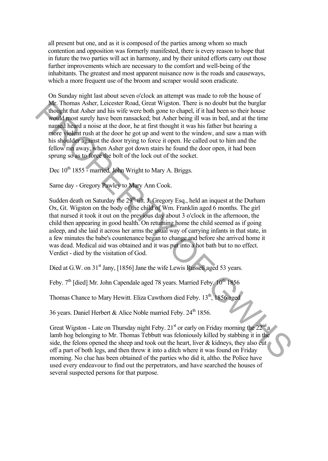all present but one, and as it is composed of the parties among whom so much contention and opposition was formerly manifested, there is every reason to hope that in future the two parties will act in harmony, and by their united efforts carry out those further improvements which are necessary to the comfort and well-being of the inhabitants. The greatest and most apparent nuisance now is the roads and causeways, which a more frequent use of the broom and scraper would soon eradicate.

On Sunday night last about seven o'clock an attempt was made to rob the house of Mr. Thomas Asher, Leicester Road, Great Wigston. There is no doubt but the burglar thought that Asher and his wife were both gone to chapel, if it had been so their house would most surely have been ransacked; but Asher being ill was in bed, and at the time named heard a noise at the door, he at first thought it was his father but hearing a more violent rush at the door he got up and went to the window, and saw a man with his shoulder against the door trying to force it open. He called out to him and the fellow ran away, when Asher got down stairs he found the door open, it had been sprung so as to force the bolt of the lock out of the socket. **Mr.** Thomas Asher, Leicester Road, Great Wiggton. There is no doubt but the burght<br>mean that Asher and his wife were both gone to chapel, if it had been so their house<br>world most surely have been narskeded, but Asher bei

Dec 10<sup>th</sup> 1855 - married, John Wright to Mary A. Briggs.

Same day - Gregory Pawley to Mary Ann Cook.

Sudden death on Saturday the  $29<sup>th</sup>$  ult. J. Gregory Esq., held an inquest at the Durham Ox, Gt. Wigston on the body of the child of Wm. Franklin aged 6 months. The girl that nursed it took it out on the previous day about 3 o'clock in the afternoon, the child then appearing in good health. On returning home the child seemed as if going asleep, and she laid it across her arms the usual way of carrying infants in that state, in a few minutes the babe's countenance began to change and before she arrived home it was dead. Medical aid was obtained and it was put into a hot bath but to no effect. Verdict - died by the visitation of God.

Died at G.W. on  $31<sup>st</sup>$  Jany, [1856] Jane the wife Lewis Russell aged 53 years.

Feby. 7<sup>th</sup> [died] Mr. John Capendale aged 78 years. Married Feby. 10<sup>th</sup> 1856

Thomas Chance to Mary Hewitt. Eliza Cawthorn died Feby. 13<sup>th</sup>, 1856 aged

36 years. Daniel Herbert & Alice Noble married Feby.  $24<sup>th</sup> 1856$ .

Great Wigston - Late on Thursday night Feby.  $21<sup>st</sup>$  or early on Friday morning the  $22<sup>nd</sup> a$ lamb hog belonging to Mr. Thomas Tebbutt was feloniously killed by stabbing it in the side, the felons opened the sheep and took out the heart, liver  $\&$  kidneys, they also cut off a part of both legs, and then threw it into a ditch where it was found on Friday morning. No clue has been obtained of the parties who did it, altho. the Police have used every endeavour to find out the perpetrators, and have searched the houses of several suspected persons for that purpose.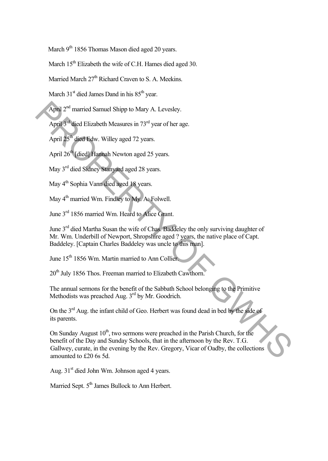March 9<sup>th</sup> 1856 Thomas Mason died aged 20 years.

March  $15<sup>th</sup>$  Elizabeth the wife of C.H. Hames died aged 30.

Married March 27<sup>th</sup> Richard Craven to S. A. Meekins.

March  $31<sup>st</sup>$  died James Dand in his  $85<sup>th</sup>$  year.

April 2<sup>nd</sup> married Samuel Shipp to Mary A. Levesley.

April  $3<sup>rd</sup>$  died Elizabeth Measures in  $73<sup>rd</sup>$  year of her age.

April 25<sup>th</sup> died Edw. Willey aged 72 years.

April  $26<sup>th</sup>$  [died] Hannah Newton aged 25 years.

May 3<sup>rd</sup> died Sidney Stanyard aged 28 years.

May 4<sup>th</sup> Sophia Vann died aged 18 years.

May 4<sup>th</sup> married Wm. Findley to My. A. Folwell.

June 3<sup>rd</sup> 1856 married Wm. Heard to Alice Grant.

June 3<sup>rd</sup> died Martha Susan the wife of Chas. Baddeley the only surviving daughter of Mr. Wm. Underbill of Newport, Shropshire aged ? years, the native place of Capt. Baddeley. [Captain Charles Baddeley was uncle to this man].

June 15<sup>th</sup> 1856 Wm. Martin married to Ann Collier.

20<sup>th</sup> July 1856 Thos. Freeman married to Elizabeth Cawthorn.

The annual sermons for the benefit of the Sabbath School belonging to the Primitive Methodists was preached Aug. 3<sup>rd</sup> by Mr. Goodrich.

On the 3<sup>rd</sup> Aug. the infant child of Geo. Herbert was found dead in bed by the side of its parents.

On Sunday August  $10<sup>th</sup>$ , two sermons were preached in the Parish Church, for the benefit of the Day and Sunday Schools, that in the afternoon by the Rev. T.G. Gallwey, curate, in the evening by the Rev. Gregory, Vicar of Oadby, the collections amounted to £20 6s 5d. April 2<sup>nd</sup> married Siamuel Shipp to Mary A. Levesley.<br>
April 2<sup>nd</sup> tiged Edw. Willey aged 72 years.<br>
April 2<sup>cm</sup> died Liba. Willey aged 72 years.<br>
April 2<sup>cm</sup> (died) Traphab Newton aged 25 years.<br>
May 4<sup>to</sup> Sophia Vantro

Aug. 31<sup>st</sup> died John Wm. Johnson aged 4 years.

Married Sept. 5<sup>th</sup> James Bullock to Ann Herbert.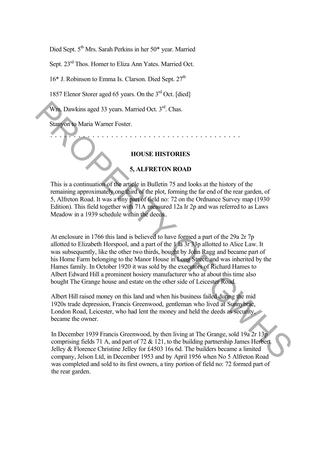Died Sept. 5<sup>th</sup> Mrs. Sarah Perkins in her 50\* year. Married

Sept. 23<sup>rd</sup> Thos. Homer to Eliza Ann Yates. Married Oct.

 $16*$  J. Robinson to Emma Is. Clarson. Died Sept.  $27<sup>th</sup>$ 

1857 Elenor Storer aged 65 years. On the 3<sup>rd</sup> Oct. [died]

Wm. Dawkins aged 33 years. Married Oct. 3rd. Chas.

Stanyon to Maria Warner Foster.

#### **HOUSE HISTORIES**

\* \* \* \* \* \* \* \* \* \* \* \* \* \* \* \* \* \* \* \* \* \* \* \* \* \* \* \* \* \* \* \* \* \* \* \* \* \* \* \* \*

#### **5, ALFRETON ROAD**

This is a continuation of the article in Bulletin 75 and looks at the history of the remaining approximately one third of the plot, forming the far end of the rear garden, of 5, Alfreton Road. It was a tiny part of field no: 72 on the Ordnance Survey map (1930 Edition). This field together with 71A measured 12a Ir 2p and was referred to as Laws Meadow in a 1939 schedule within the deeds..

At enclosure in 1766 this land is believed to have formed a part of the 29a 2r 7p allotted to Elizabeth Horspool, and a part of the 1 la 3r 33p allotted to Alice Law. It was subsequently, like the other two thirds, bought by John Ragg and became part of his Home Farm belonging to the Manor House in Long Street, and was inherited by the Hames family. In October 1920 it was sold by the executors of Richard Hames to Albert Edward Hill a prominent hosiery manufacturer who at about this time also bought The Grange house and estate on the other side of Leicester Road. **EXERCTS**<br> **EXERCTS**<br> **EXERCTS**<br> **EXERCTS**<br> **EXERCTS**<br> **EXERCTS**<br> **EXERCTS**<br> **EXERCTS**<br> **EXERCTS**<br> **EXERCTS**<br> **EXERCTS**<br> **EXERCTS**<br> **EXERCTS**<br> **EXERCTS**<br> **EXERCTS**<br> **EXERCTS**<br> **EXERCTS**<br> **EXERCTS**<br> **EXERCTS**<br> **EXERCTS**<br>

Albert Hill raised money on this land and when his business failed during the mid 1920s trade depression, Francis Greenwood, gentleman who lived at Sunnybrae, London Road, Leicester, who had lent the money and held the deeds as security, became the owner.

In December 1939 Francis Greenwood, by then living at The Grange, sold 19a 2r 13p comprising fields 71 A, and part of 72 & 121, to the building partnership James Herbert Jelley & Florence Christine Jelley for Ä4503 16s 6d. The builders became a limited company, Jelson Ltd, in December 1953 and by April 1956 when No 5 Alfreton Road was completed and sold to its first owners, a tiny portion of field no: 72 formed part of the rear garden.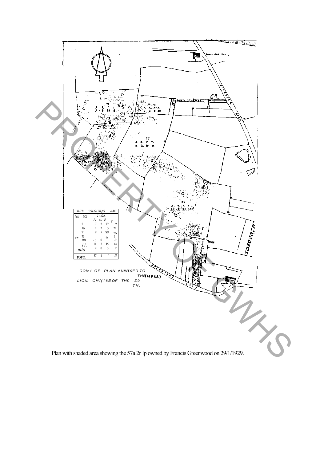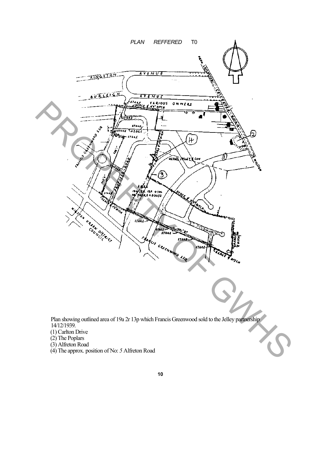

- (2) The Poplars
- (3) Alfreton Road
- (4) The approx. position of No: *5* Alfreton Road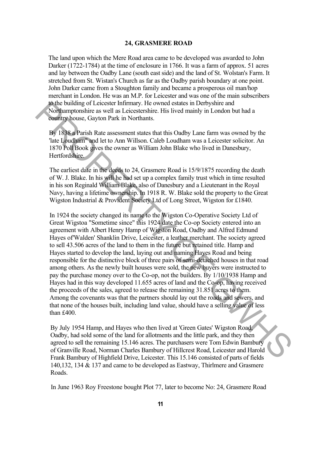#### **24, GRASMERE ROAD**

The land upon which the Mere Road area came to be developed was awarded to John Darker (1722-1784) at the time of enclosure in 1766. It was a farm of approx. 51 acres and lay between the Oadby Lane (south east side) and the land of St. Wolstan's Farm. It stretched from St. Wistan's Church as far as the Oadby parish boundary at one point. John Darker came from a Stoughton family and became a prosperous oil man/hop merchant in London. He was an M.P. for Leicester and was one of the main subscribers to the building of Leicester Infirmary. He owned estates in Derbyshire and Northamptonshire as well as Leicestershire. His lived mainly in London but had a country house, Gayton Park in Northants.

By 1838 a Parish Rate assessment states that this Oadby Lane farm was owned by the 'late Loudham" and let to Ann Willson. Caleb Loudham was a Leicester solicitor. An 1870 Poll Book gives the owner as William John Blake who lived in Danesbury, Hertfordshire.

The earliest date in the deeds to 24, Grasmere Road is 15/9/1875 recording the death of W. J. Blake. In his will he had set up a complex family trust which in time resulted in his son Reginald William Blake, also of Danesbury and a Lieutenant in the Royal Navy, having a lifetime ownership. In 1918 R. W. Blake sold the property to the Great Wigston Industrial & Provident Society Ltd of Long Street, Wigston for £1840.

In 1924 the society changed its name to the Wigston Co-Operative Society Ltd of Great Wigstoa "Sometime since" this 1924 date the Co-op Society entered into an agreement with Albert Henry Hamp of Wigston Road, Oadby and Alfred Edmund Hayes of'Walden' Shanklin Drive, Leicester, a leather merchant. The society agreed to sell 43.506 acres of the land to them in the future but retained title. Hamp and Hayes started to develop the land, laying out and naming Hayes Road and being responsible for the distinctive block of three pairs of semi-detached houses in that road among others. As the newly built houses were sold, the new buyers were instructed to pay the purchase money over to the Co-op, not the builders. By 1/10/1938 Hamp and Hayes had in this way developed 11.655 acres of land and the Co-op, having received the proceeds of the sales, agreed to release the remaining 31.851 acres to them. Among the covenants was that the partners should lay out the roads and sewers, and that none of the houses built, including land value, should have a selling value of less than £400. To building of Lictuster Infimary. He wond estates in Derbyshire and the building of Leibester Infimary of the NSM and the Accounty house, Gayton Park in Northants.<br>
He Vooltlamp house, Gayton Park in Northants.<br>
He Tate L

By July 1954 Hamp, and Hayes who then lived at 'Green Gates' Wigston Road, Oadby, had sold some of the land for allotments and the little park, and they then agreed to sell the remaining 15.146 acres. The purchasers were Tom Edwin Bambury of Granville Road, Norman Charles Bambury of Hillcrest Road, Leicester and Harold Frank Bambury of Highfield Drive, Leicester. This 15.146 consisted of parts of fields 140,132, 134 & 137 and came to be developed as Eastway, Thirlmere and Grasmere Roads.

In June 1963 Roy Freestone bought Plot 77, later to become No: 24, Grasmere Road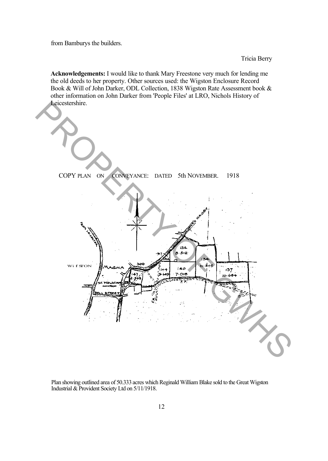from Bamburys the builders.

Tricia Berry

**Acknowledgements:** I would like to thank Mary Freestone very much for lending me the old deeds to her property. Other sources used: the Wigston Enclosure Record Book & Will of John Darker, ODL Collection, 1838 Wigston Rate Assessment book & other information on John Darker from 'People Files' at LRO, Nichols History of Leicestershire.



Plan showing outlined area of 50.333 acres which Reginald William Blake sold to the Great Wigston Industrial & Provident Society Ltd on 5/11/1918.